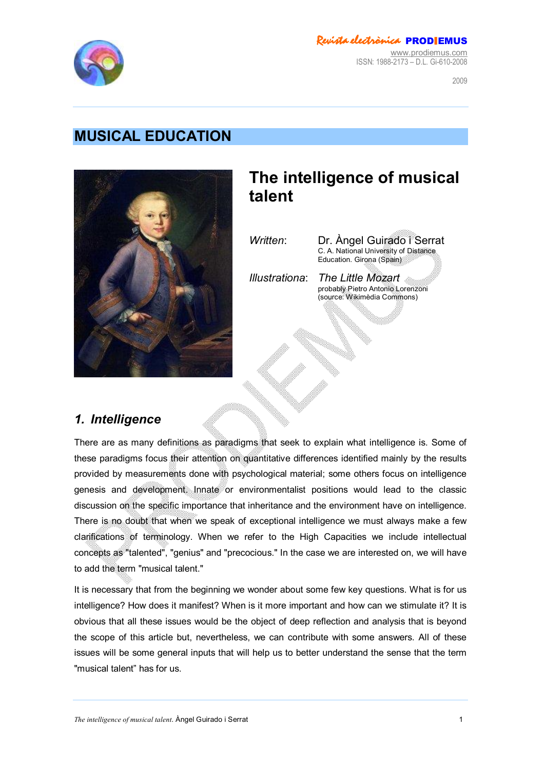

### *Revista electrònica* PROD**I**EMUS

[www.prodiemus.com](http://www.prodiemus.com) ISSN: 1988-2173 – D.L. Gi-610-2008

 $2009$ 

# **MUSICAL EDUCATION**



# **The intelligence of musical talent**

*Written*: Dr. Àngel Guirado i Serrat C. A. National University of Distance Education. Girona (Spain)

*Illustrationa*: *The Little Mozart* probably Pietro Antonio Lorenzoni (source: Wikimèdia Commons)

### *1. Intelligence*

There are as many definitions as paradigms that seek to explain what intelligence is. Some of these paradigms focus their attention on quantitative differences identified mainly by the results provided by measurements done with psychological material; some others focus on intelligence genesis and development Innate or environmentalist positions would lead to the classic discussion on the specific importance that inheritance and the environment have on intelligence. There is no doubt that when we speak of exceptional intelligence we must always make a few clarifications of terminology. When we refer to the High Capacities we include intellectual concepts as "talented", "genius" and "precocious." In the case we are interested on, we will have to add the term "musical talent."

It is necessary that from the beginning we wonder about some few key questions. What is for us intelligence? How does it manifest? When is it more important and how can we stimulate it? It is obvious that all these issues would be the object of deep reflection and analysis that is beyond the scope of this article but, nevertheless, we can contribute with some answers. All of these issues will be some general inputs that will help us to better understand the sense that the term "musical talent" has for us.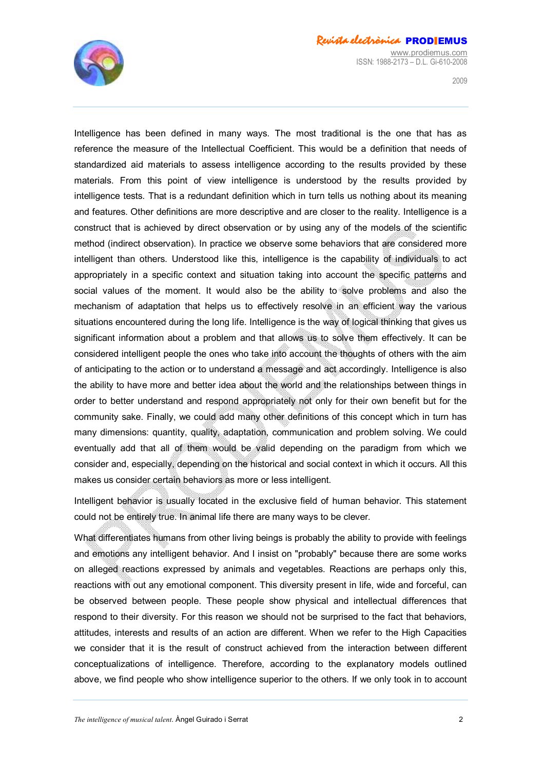

 $2009$ 

Intelligence has been defined in many ways. The most traditional is the one that has as reference the measure of the Intellectual Coefficient. This would be a definition that needs of standardized aid materials to assess intelligence according to the results provided by these materials. From this point of view intelligence is understood by the results provided by intelligence tests. That is a redundant definition which in turn tells us nothing about its meaning and features. Other definitions are more descriptive and are closer to the reality. Intelligence is a construct that is achieved by direct observation or by using any of the models of the scientific method (indirect observation). In practice we observe some behaviors that are considered more intelligent than others. Understood like this, intelligence is the capability of individuals to act appropriately in a specific context and situation taking into account the specific patterns and social values of the moment. It would also be the ability to solve problems and also the mechanism of adaptation that helps us to effectively resolve in an efficient way the various situations encountered during the long life. Intelligence is the way of logical thinking that gives us significant information about a problem and that allows us to solve them effectively. It can be considered intelligent people the ones who take into account the thoughts of others with the aim of anticipating to the action or to understand a message and act accordingly. Intelligence is also the ability to have more and better idea about the world and the relationships between things in order to better understand and respond appropriately not only for their own benefit but for the community sake. Finally, we could add many other definitions of this concept which in turn has many dimensions: quantity, quality, adaptation, communication and problem solving. We could eventually add that all of them would be valid depending on the paradigm from which we consider and, especially, depending on the historical and social context in which it occurs. All this makes us consider certain behaviors as more or less intelligent.

Intelligent behavior is usually located in the exclusive field of human behavior. This statement could not be entirely true. In animal life there are many ways to be clever.

What differentiates humans from other living beings is probably the ability to provide with feelings and emotions any intelligent behavior. And I insist on "probably" because there are some works on alleged reactions expressed by animals and vegetables. Reactions are perhaps only this, reactions with out any emotional component. This diversity present in life, wide and forceful, can be observed between people. These people show physical and intellectual differences that respond to their diversity. For this reason we should not be surprised to the fact that behaviors, attitudes, interests and results of an action are different. When we refer to the High Capacities we consider that it is the result of construct achieved from the interaction between different conceptualizations of intelligence. Therefore, according to the explanatory models outlined above, we find people who show intelligence superior to the others. If we only took in to account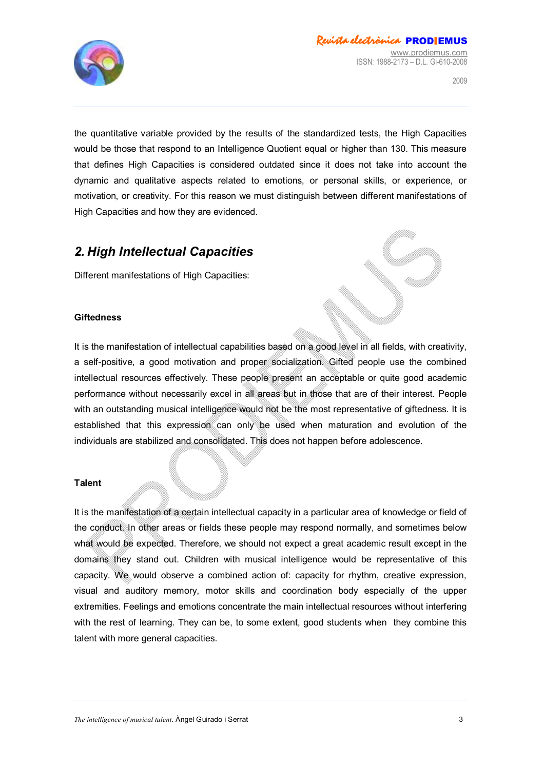

the quantitative variable provided by the results of the standardized tests, the High Capacities would be those that respond to an Intelligence Quotient equal or higher than 130. This measure that defines High Capacities is considered outdated since it does not take into account the dynamic and qualitative aspects related to emotions, or personal skills, or experience, or motivation, or creativity. For this reason we must distinguish between different manifestations of High Capacities and how they are evidenced.

## *2. High Intellectual Capacities*

Different manifestations of High Capacities:

#### **Giftedness**

It is the manifestation of intellectual capabilities based on a good level in all fields, with creativity, a self-positive, a good motivation and proper socialization. Gifted people use the combined intellectual resources effectively. These people present an acceptable or quite good academic performance without necessarily excel in all areas but in those that are of their interest. People with an outstanding musical intelligence would not be the most representative of giftedness. It is established that this expression can only be used when maturation and evolution of the individuals are stabilized and consolidated. This does not happen before adolescence.

#### **Talent**

It is the manifestation of a certain intellectual capacity in a particular area of knowledge or field of the conduct. In other areas or fields these people may respond normally, and sometimes below what would be expected. Therefore, we should not expect a great academic result except in the domains they stand out. Children with musical intelligence would be representative of this capacity. We would observe a combined action of: capacity for rhythm, creative expression, visual and auditory memory, motor skills and coordination body especially of the upper extremities. Feelings and emotions concentrate the main intellectual resources without interfering with the rest of learning. They can be, to some extent, good students when they combine this talent with more general capacities.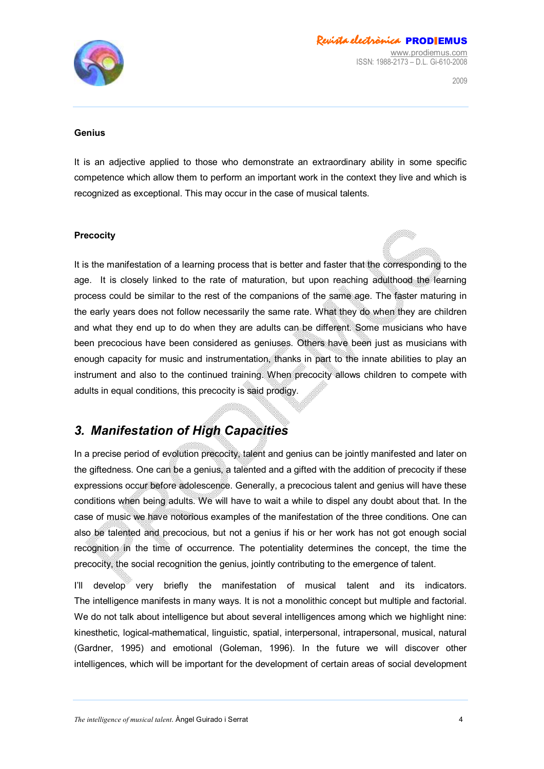

#### **Genius**

It is an adjective applied to those who demonstrate an extraordinary ability in some specific competence which allow them to perform an important work in the context they live and which is recognized as exceptional. This may occur in the case of musical talents.

#### **Precocity**

It is the manifestation of a learning process that is better and faster that the corresponding to the age. It is closely linked to the rate of maturation, but upon reaching adulthood the learning process could be similar to the rest of the companions of the same age. The faster maturing in the early years does not follow necessarily the same rate. What they do when they are children and what they end up to do when they are adults can be different. Some musicians who have been precocious have been considered as geniuses. Others have been just as musicians with enough capacity for music and instrumentation, thanks in part to the innate abilities to play an instrument and also to the continued training. When precocity allows children to compete with adults in equal conditions, this precocity is said prodigy.

### *3. Manifestation of High Capacities*

In a precise period of evolution precocity, talent and genius can be jointly manifested and later on the giftedness. One can be a genius, a talented and a gifted with the addition of precocity if these expressions occur before adolescence. Generally, a precocious talent and genius will have these conditions when being adults. We will have to wait a while to dispel any doubt about that. In the case of music we have notorious examples of the manifestation of the three conditions. One can also be talented and precocious, but not a genius if his or her work has not got enough social recognition in the time of occurrence. The potentiality determines the concept, the time the precocity, the social recognition the genius, jointly contributing to the emergence of talent.

I'll develop very briefly the manifestation of musical talent and its indicators. The intelligence manifests in many ways. It is not a monolithic concept but multiple and factorial. We do not talk about intelligence but about several intelligences among which we highlight nine: kinesthetic, logical-mathematical, linguistic, spatial, interpersonal, intrapersonal, musical, natural (Gardner, 1995) and emotional (Goleman, 1996). In the future we will discover other intelligences, which will be important for the development of certain areas of social development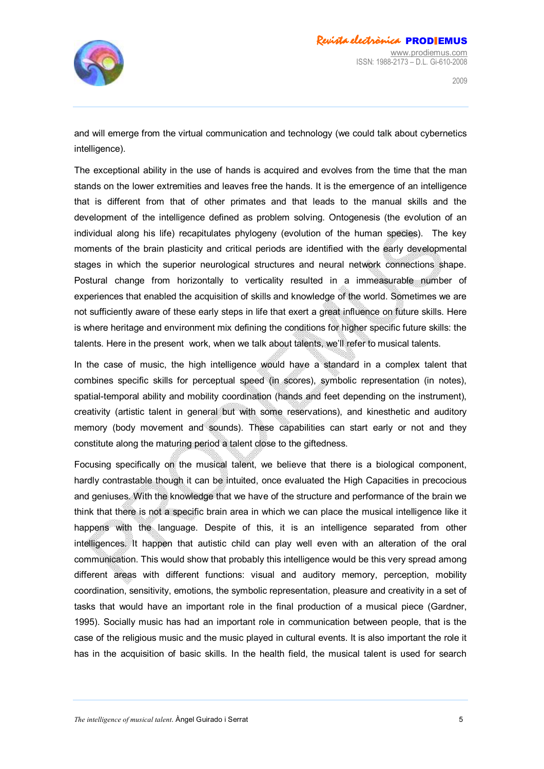

and will emerge from the virtual communication and technology (we could talk about cybernetics intelligence).

The exceptional ability in the use of hands is acquired and evolves from the time that the man stands on the lower extremities and leaves free the hands. It is the emergence of an intelligence that is different from that of other primates and that leads to the manual skills and the development of the intelligence defined as problem solving. Ontogenesis (the evolution of an individual along his life) recapitulates phylogeny (evolution of the human species). The key moments of the brain plasticity and critical periods are identified with the early developmental stages in which the superior neurological structures and neural network connections shape. Postural change from horizontally to verticality resulted in a immeasurable number of experiences that enabled the acquisition of skills and knowledge of the world. Sometimes we are not sufficiently aware of these early steps in life that exert a great influence on future skills. Here is where heritage and environment mix defining the conditions for higher specific future skills: the talents. Here in the present work, when we talk about talents, we'll refer to musical talents.

In the case of music, the high intelligence would have a standard in a complex talent that combines specific skills for perceptual speed (in scores), symbolic representation (in notes), spatial-temporal ability and mobility coordination (hands and feet depending on the instrument), creativity (artistic talent in general but with some reservations), and kinesthetic and auditory memory (body movement and sounds). These capabilities can start early or not and they constitute along the maturing period a talent close to the giftedness.

Focusing specifically on the musical talent, we believe that there is a biological component, hardly contrastable though it can be intuited, once evaluated the High Capacities in precocious and geniuses. With the knowledge that we have of the structure and performance of the brain we think that there is not a specific brain area in which we can place the musical intelligence like it happens with the language. Despite of this, it is an intelligence separated from other intelligences. It happen that autistic child can play well even with an alteration of the oral communication. This would show that probably this intelligence would be this very spread among different areas with different functions: visual and auditory memory, perception, mobility coordination, sensitivity, emotions, the symbolic representation, pleasure and creativity in a set of tasks that would have an important role in the final production of a musical piece (Gardner, 1995). Socially music has had an important role in communication between people, that is the case of the religious music and the music played in cultural events. It is also important the role it has in the acquisition of basic skills. In the health field, the musical talent is used for search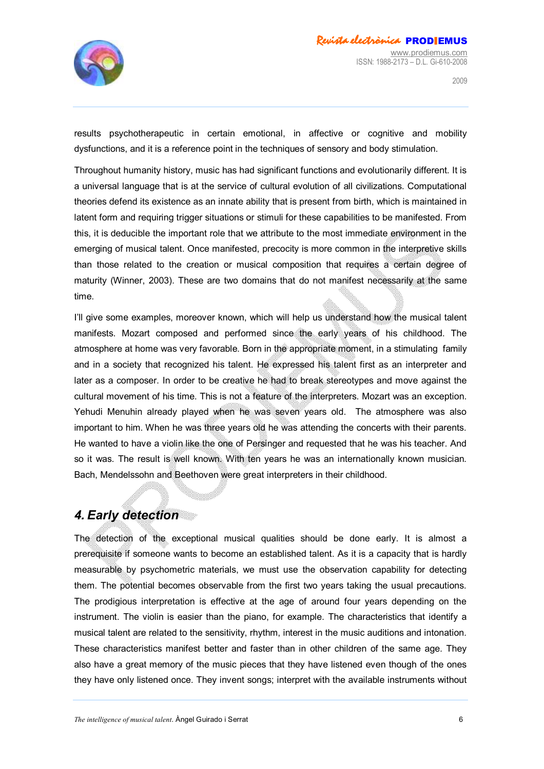

results psychotherapeutic in certain emotional, in affective or cognitive and mobility dysfunctions, and it is a reference point in the techniques of sensory and body stimulation.

Throughout humanity history, music has had significant functions and evolutionarily different. It is a universal language that is at the service of cultural evolution of all civilizations. Computational theories defend its existence as an innate ability that is present from birth, which is maintained in latent form and requiring trigger situations or stimuli for these capabilities to be manifested. From this, it is deducible the important role that we attribute to the most immediate environment in the emerging of musical talent. Once manifested, precocity is more common in the interpretive skills than those related to the creation or musical composition that requires a certain degree of maturity (Winner, 2003). These are two domains that do not manifest necessarily at the same time.

I'll give some examples, moreover known, which will help us understand how the musical talent manifests. Mozart composed and performed since the early years of his childhood. The atmosphere at home was very favorable. Born in the appropriate moment, in a stimulating family and in a society that recognized his talent. He expressed his talent first as an interpreter and later as a composer. In order to be creative he had to break stereotypes and move against the cultural movement of his time. This is not a feature of the interpreters. Mozart was an exception. Yehudi Menuhin already played when he was seven years old. The atmosphere was also important to him. When he was three years old he was attending the concerts with their parents. He wanted to have a violin like the one of Persinger and requested that he was his teacher. And so it was. The result is well known. With ten years he was an internationally known musician. Bach, Mendelssohn and Beethoven were great interpreters in their childhood.

# *4. Early detection*

The detection of the exceptional musical qualities should be done early. It is almost a prerequisite if someone wants to become an established talent. As it is a capacity that is hardly measurable by psychometric materials, we must use the observation capability for detecting them. The potential becomes observable from the first two years taking the usual precautions. The prodigious interpretation is effective at the age of around four years depending on the instrument. The violin is easier than the piano, for example. The characteristics that identify a musical talent are related to the sensitivity, rhythm, interest in the music auditions and intonation. These characteristics manifest better and faster than in other children of the same age. They also have a great memory of the music pieces that they have listened even though of the ones they have only listened once. They invent songs; interpret with the available instruments without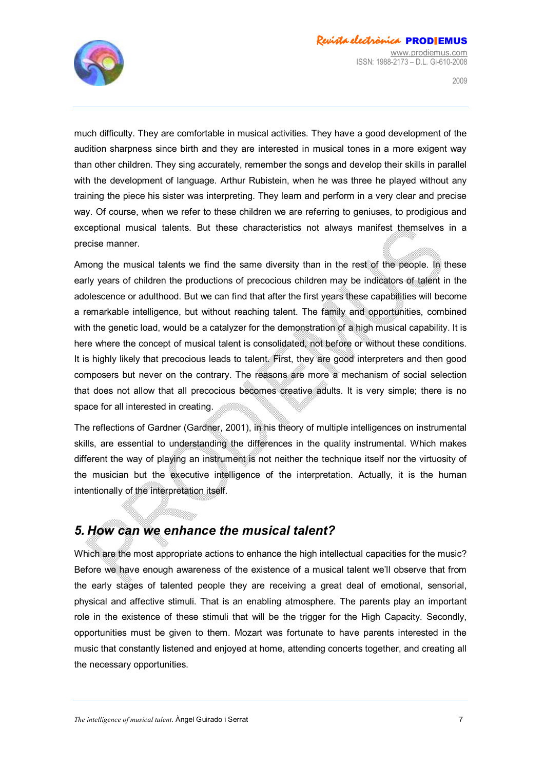

much difficulty. They are comfortable in musical activities. They have a good development of the audition sharpness since birth and they are interested in musical tones in a more exigent way than other children. They sing accurately, remember the songs and develop their skills in parallel with the development of language. Arthur Rubistein, when he was three he played without any training the piece his sister was interpreting. They learn and perform in a very clear and precise way. Of course, when we refer to these children we are referring to geniuses, to prodigious and exceptional musical talents. But these characteristics not always manifest themselves in a precise manner.

Among the musical talents we find the same diversity than in the restep the people. In these early years of children the productions of precocious children may be indicators of talent in the adolescence or adulthood. But we can find that after the first years these capabilities will become a remarkable intelligence, but without reaching talent. The family and opportunities, combined with the genetic load, would be a catalyzer for the demonstration of a high musical capability. It is here where the concept of musical talent is consolidated, not before or without these conditions. It is highly likely that precocious leads to talent. First, they are good interpreters and then good composers but never on the contrary. The reasons are more a mechanism of social selection that does not allow that all precocious becomes creative adults. It is very simple; there is no space for all interested in creating.

The reflections of Gardner (Gardner, 2001), in his theory of multiple intelligences on instrumental skills, are essential to understanding the differences in the quality instrumental. Which makes different the way of playing an instrument is not neither the technique itself nor the virtuosity of the musician but the executive intelligence of the interpretation. Actually, it is the human intentionally of the interpretation itself.

### *5. How can we enhance the musical talent?*

Which are the most appropriate actions to enhance the high intellectual capacities for the music? Before we have enough awareness of the existence of a musical talent we'll observe that from the early stages of talented people they are receiving a great deal of emotional, sensorial, physical and affective stimuli. That is an enabling atmosphere. The parents play an important role in the existence of these stimuli that will be the trigger for the High Capacity. Secondly, opportunities must be given to them. Mozart was fortunate to have parents interested in the music that constantly listened and enjoyed at home, attending concerts together, and creating all the necessary opportunities.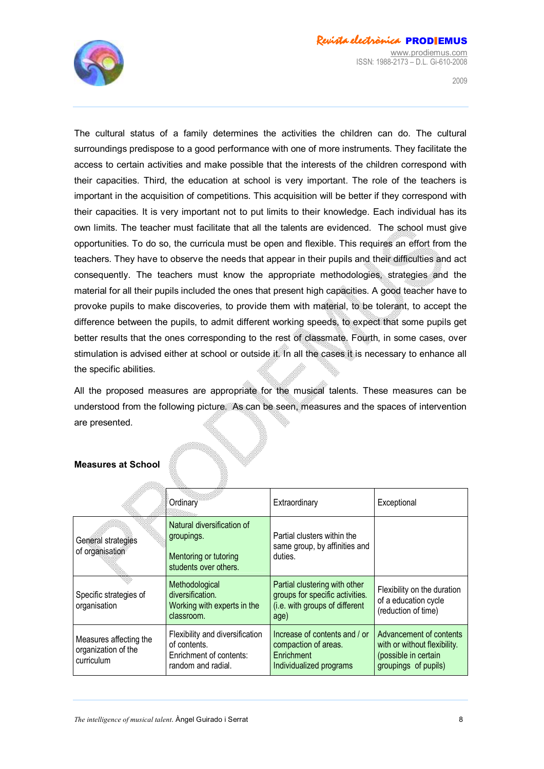

 $2009$ 

The cultural status of a family determines the activities the children can do. The cultural surroundings predispose to a good performance with one of more instruments. They facilitate the access to certain activities and make possible that the interests of the children correspond with their capacities. Third, the education at school is very important. The role of the teachers is important in the acquisition of competitions. This acquisition will be better if they correspond with their capacities. It is very important not to put limits to their knowledge. Each individual has its own limits. The teacher must facilitate that all the talents are evidenced. The school must give opportunities. To do so, the curricula must be open and flexible. This requires an effort from the teachers. They have to observe the needs that appear in their pupils and their difficulties and act consequently. The teachers must know the appropriate methodologies, strategies and the material for all their pupils included the ones that present high capacities. A good teacher have to provoke pupils to make discoveries, to provide them with material, to be tolerant, to accept the difference between the pupils, to admit different working speeds, to expect that some pupils get better results that the ones corresponding to the rest of classmate. Fourth, in some cases, over stimulation is advised either at school or outside it. In all the cases it is necessary to enhance all the specific abilities.

All the proposed measures are appropriate for the musical talents. These measures can be understood from the following picture. As can be seen, measures and the spaces of intervention are presented.

|                                                             | Ordinary                                                                                         | Extraordinary                                                                                              | Exceptional                                                                                             |
|-------------------------------------------------------------|--------------------------------------------------------------------------------------------------|------------------------------------------------------------------------------------------------------------|---------------------------------------------------------------------------------------------------------|
| General strategies<br>of organisation                       | Natural diversification of<br>groupings.<br>Mentoring or tutoring<br>students over others.       | Partial clusters within the<br>same group, by affinities and<br>duties.                                    |                                                                                                         |
| Specific strategies of<br>organisation                      | Methodological<br>diversification.<br>Working with experts in the<br>classroom.                  | Partial clustering with other<br>groups for specific activities.<br>(i.e. with groups of different<br>age) | Flexibility on the duration<br>of a education cycle<br>(reduction of time)                              |
| Measures affecting the<br>organization of the<br>curriculum | Flexibility and diversification<br>of contents.<br>Enrichment of contents:<br>random and radial. | Increase of contents and / or<br>compaction of areas.<br>Enrichment<br>Individualized programs             | Advancement of contents<br>with or without flexibility.<br>(possible in certain<br>groupings of pupils) |

#### **Measures at School**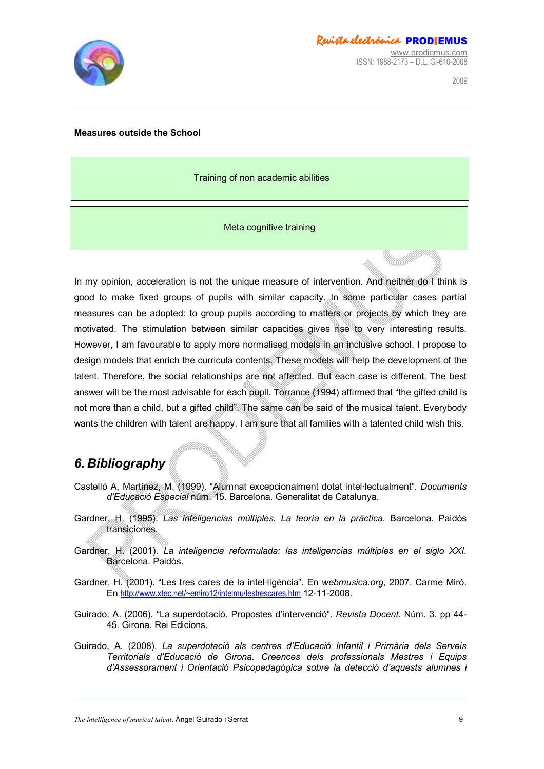

#### **Measures outside the School**

Training of non academic abilities

Meta cognitive training

In my opinion, acceleration is not the unique measure of intervention. And neither do I think is good to make fixed groups of pupils with similar capacity. In some particular cases partial measures can be adopted: to group pupils according to matters or projects by which they are motivated. The stimulation between similar capacities gives rise to very interesting results. However, I am favourable to apply more normalised models in an inclusive school. I propose to design models that enrich the curricula contents. These models will help the development of the talent. Therefore, the social relationships are not affected. But each case is different. The best answer will be the most advisable for each pupil. Torrance (1994) affirmed that "the gifted child is not more than a child, but a gifted child". The same can be said of the musical talent. Everybody wants the children with talent are happy. I am sure that all families with a talented child wish this.

## *6. Bibliography*

- Castelló A, Martínez, M. (1999). "Alumnat excepcionalment dotat intel·lectualment". *Documents d'Educació Especial* núm. 15. Barcelona. Generalitat de Catalunya.
- Gardner, H. (1995). *Las inteligencias múltiples. La teoría en la práctica*. Barcelona. Paidós transiciones.
- Gardner, H. (2001). *La inteligencia reformulada: las inteligencias múltiples en el siglo XXI*. Barcelona. Paidós.
- Gardner, H. (2001). "Les tres cares de la intel·ligència". En *webmusica.org*, 2007. Carme Miró. En <http://www.xtec.net/~emiro12/intelmu/lestrescares.htm> 12-11-2008.
- Guirado, A. (2006). "La superdotació. Propostes d'intervenció". *Revista Docent*. Núm. 3. pp 44- 45. Girona. Rei Edicions.
- Guirado, A. (2008). *La superdotació als centres d'Educació Infantil i Primària dels Serveis Territorials d'Educació de Girona. Creences dels professionals Mestres i Equips d'Assessorament i Orientació Psicopedagògica sobre la detecció d'aquests alumnes i*